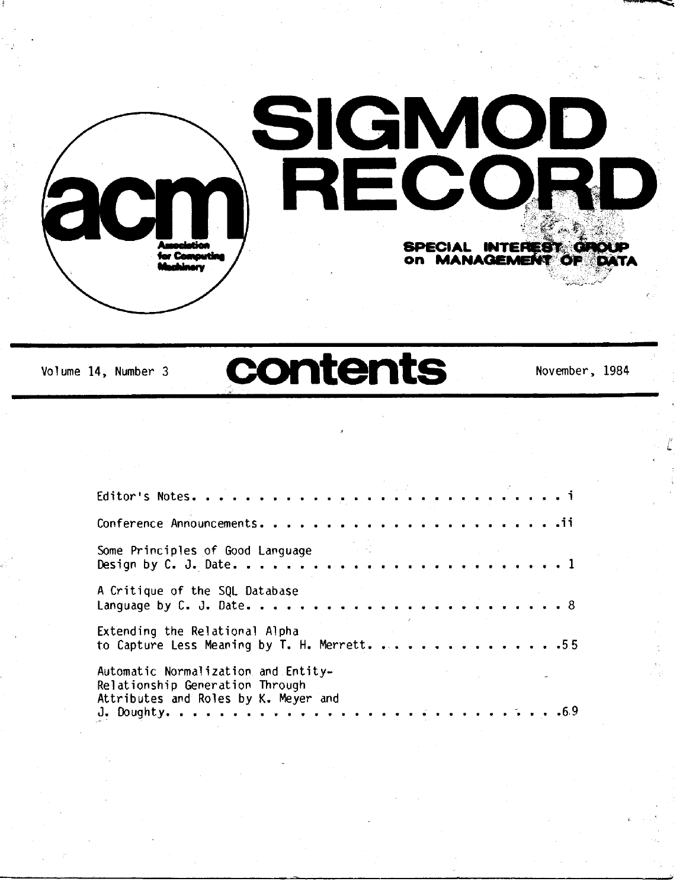

Volume 14, Number 3 **contents** November, 1984

| Some Principles of Good Language                                                                               |  |
|----------------------------------------------------------------------------------------------------------------|--|
| A Critique of the SQL Database                                                                                 |  |
| Extending the Relational Alpha<br>to Capture Less Meaning by T. H. Merrett. 55                                 |  |
| Automatic Normalization and Entity-<br>Relationship Generation Through<br>Attributes and Roles by K. Meyer and |  |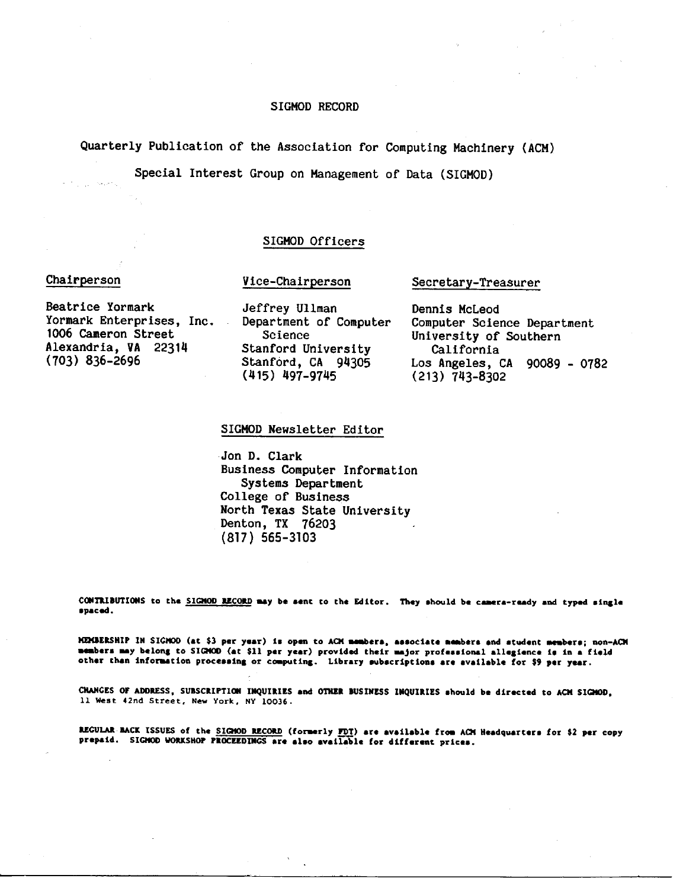#### SIGMOD RECORD

Quarterly Publication of the Association for Computing Machinery (ACM)

Special Interest Group on Management of Data (SIGMOD)

### SIGMOD Officers

#### Chairperson

#### Vice-Chairperson

Beatrice Yormark Yormark Enterprises, Inc. 1006 Cameron Street Alexandria, VA 22314 (703) 836-2696

Jeffrey Ullman Department of Computer Science Stanford University Stanford, CA 94305 (415) 497-9745

Secretary-Treasurer

Dennis McLeod Computer Science Department University of Southern California Los Angeles, CA 90089 - 0782 (213) 743-8302

#### SIGMOD Newsletter Editor

• Jon D. Clark Business Computer Information Systems Department College of Business North Texas State University Denton, TX 76203 (817) 565-3103

CONTRIBUTIONS to the SIGHOD RECORD may be sent to the Editor. They should be camera-ready and typed single spaced.

MEMBERSHIP IN SIGHOD (at \$3 per year) is open to ACM members, associate members and student members; non-ACM members may belong to SIGHOD (at \$11 par year) provided their major professional allegience is in a field other than information processing or computing. Library subscriptions are available for \$9 per year.

CHANGES OF ADDRESS, SUBSCRIPTION INQUIRIES and OTHER BUSINESS INQUIRIES should be directed to ACM SIGHOD, 11 West 42nd Street, New York, NY 10036.

REGULAR BACK ISSUES of the SIGHOD RECORD (formerly FDT) are available from ACM Headquarters for \$2 per copy prepaid. SIGNOD WORKSHOP PROCEEDINGS are also available for different prices.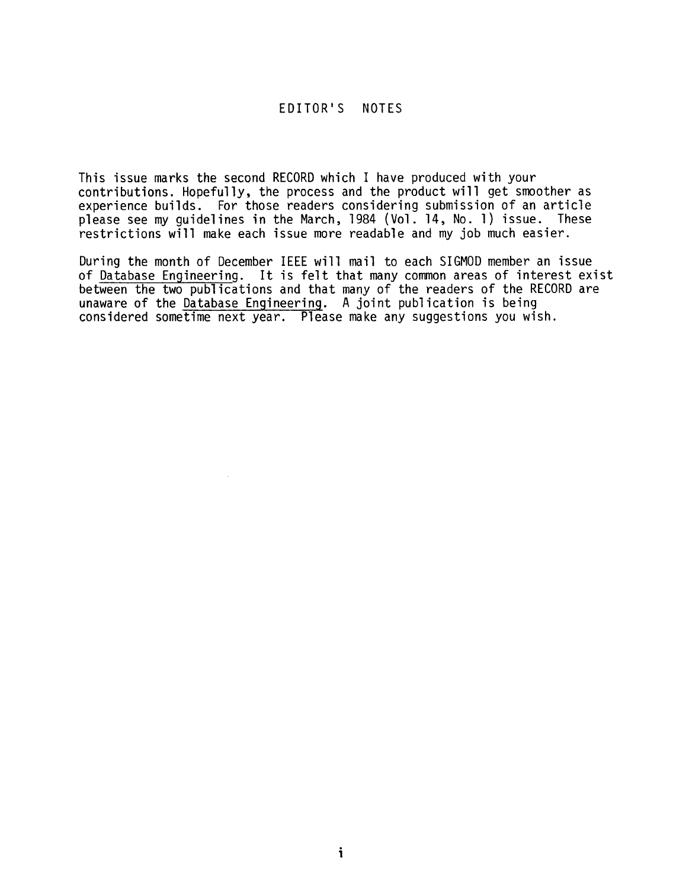# EDITOR'S NOTES

This issue marks the second RECORD which I have produced with your contributions. Hopefully, the process and the product will get smoother as experience builds. For those readers considering submission of an article please see my guidelines in the March, 1984 (Vol. 14, No. 1) issue. These restrictions will make each issue more readable and my job much easier.

of Database Engineering. It is felt that many common areas of interest exist between the two publications and that many of the readers of the RECORD are between the two publications and the many of the readers of the Database Engineering. A joint publication is being  $constidered$  sometime next year. Please make any suggestions you wish.